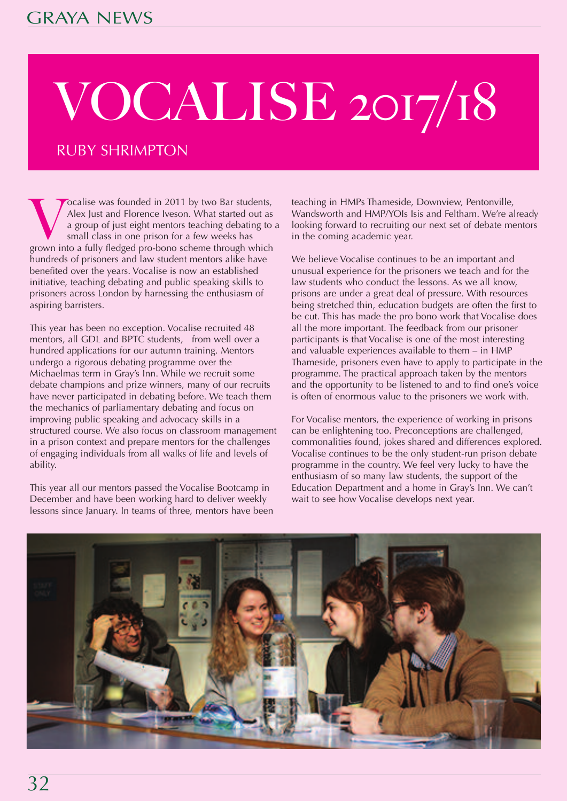## VOCALISE 2017/18

## RUBY SHRIMPTON

Vocalise was founded in 2011 by two Bar students,<br>Alex Just and Florence Iveson. What started out as<br>a group of just eight mentors teaching debating to<br>small class in one prison for a few weeks has<br>grown into a fully fledg Alex Just and Florence Iveson. What started out as a group of just eight mentors teaching debating to a small class in one prison for a few weeks has hundreds of prisoners and law student mentors alike have benefited over the years. Vocalise is now an established initiative, teaching debating and public speaking skills to prisoners across London by harnessing the enthusiasm of aspiring barristers.

This year has been no exception. Vocalise recruited 48 mentors, all GDL and BPTC students, from well over a hundred applications for our autumn training. Mentors undergo a rigorous debating programme over the Michaelmas term in Gray's Inn. While we recruit some debate champions and prize winners, many of our recruits have never participated in debating before. We teach them the mechanics of parliamentary debating and focus on improving public speaking and advocacy skills in a structured course. We also focus on classroom management in a prison context and prepare mentors for the challenges of engaging individuals from all walks of life and levels of ability.

This year all our mentors passed the Vocalise Bootcamp in December and have been working hard to deliver weekly lessons since January. In teams of three, mentors have been teaching in HMPs Thameside, Downview, Pentonville, Wandsworth and HMP/YOIs Isis and Feltham. We're already looking forward to recruiting our next set of debate mentors in the coming academic year.

We believe Vocalise continues to be an important and unusual experience for the prisoners we teach and for the law students who conduct the lessons. As we all know, prisons are under a great deal of pressure. With resources being stretched thin, education budgets are often the first to be cut. This has made the pro bono work that Vocalise does all the more important. The feedback from our prisoner participants is that Vocalise is one of the most interesting and valuable experiences available to them – in HMP Thameside, prisoners even have to apply to participate in the programme. The practical approach taken by the mentors and the opportunity to be listened to and to find one's voice is often of enormous value to the prisoners we work with.

For Vocalise mentors, the experience of working in prisons can be enlightening too. Preconceptions are challenged, commonalities found, jokes shared and differences explored. Vocalise continues to be the only student-run prison debate programme in the country. We feel very lucky to have the enthusiasm of so many law students, the support of the Education Department and a home in Gray's Inn. We can't wait to see how Vocalise develops next year.